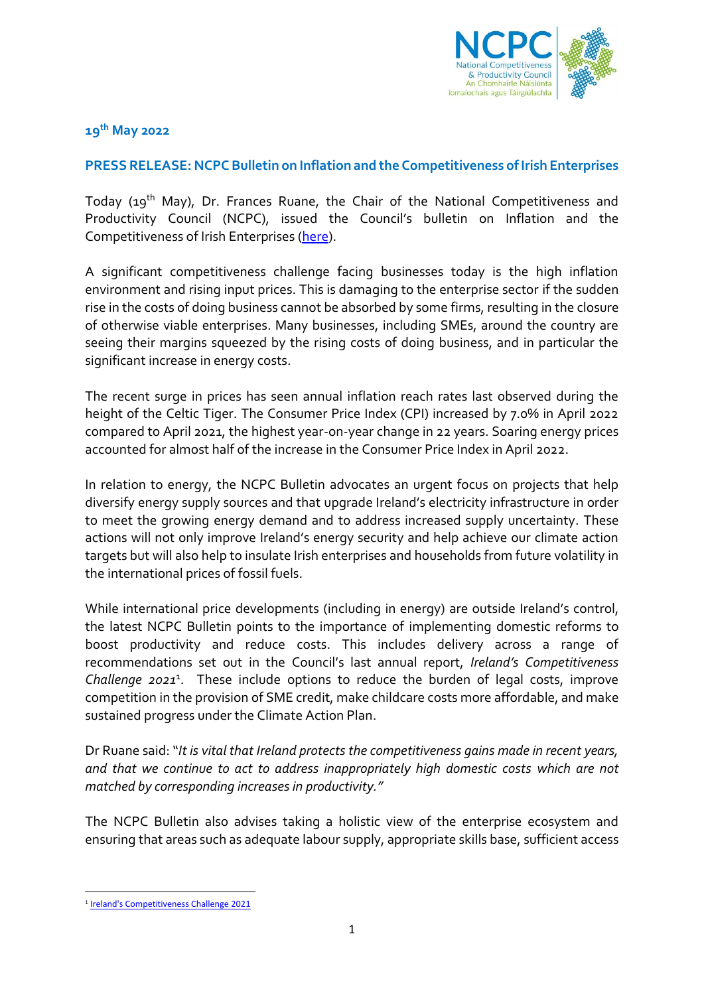

**19th May 2022**

## **PRESS RELEASE: NCPC Bulletin on Inflation and the Competitiveness of Irish Enterprises**

Today (19th May), Dr. Frances Ruane, the Chair of the National Competitiveness and Productivity Council (NCPC), issued the Council's bulletin on Inflation and the Competitiveness of Irish Enterprises [\(here\)](http://www.competitiveness.ie/).

A significant competitiveness challenge facing businesses today is the high inflation environment and rising input prices. This is damaging to the enterprise sector if the sudden rise in the costs of doing business cannot be absorbed by some firms, resulting in the closure of otherwise viable enterprises. Many businesses, including SMEs, around the country are seeing their margins squeezed by the rising costs of doing business, and in particular the significant increase in energy costs.

The recent surge in prices has seen annual inflation reach rates last observed during the height of the Celtic Tiger. The Consumer Price Index (CPI) increased by 7.0% in April 2022 compared to April 2021, the highest year-on-year change in 22 years. Soaring energy prices accounted for almost half of the increase in the Consumer Price Index in April 2022.

In relation to energy, the NCPC Bulletin advocates an urgent focus on projects that help diversify energy supply sources and that upgrade Ireland's electricity infrastructure in order to meet the growing energy demand and to address increased supply uncertainty. These actions will not only improve Ireland's energy security and help achieve our climate action targets but will also help to insulate Irish enterprises and households from future volatility in the international prices of fossil fuels.

While international price developments (including in energy) are outside Ireland's control, the latest NCPC Bulletin points to the importance of implementing domestic reforms to boost productivity and reduce costs. This includes delivery across a range of recommendations set out in the Council's last annual report, *Ireland's Competitiveness Challenge 2021*<sup>1</sup> . These include options to reduce the burden of legal costs, improve competition in the provision of SME credit, make childcare costs more affordable, and make sustained progress under the Climate Action Plan.

Dr Ruane said: "*It is vital that Ireland protects the competitiveness gains made in recent years, and that we continue to act to address inappropriately high domestic costs which are not matched by corresponding increases in productivity."*

The NCPC Bulletin also advises taking a holistic view of the enterprise ecosystem and ensuring that areas such as adequate labour supply, appropriate skills base, sufficient access

<sup>&</sup>lt;sup>1</sup> [Ireland's Competitiveness Challenge 2021](http://www.competitiveness.ie/publications/2021/ireland)